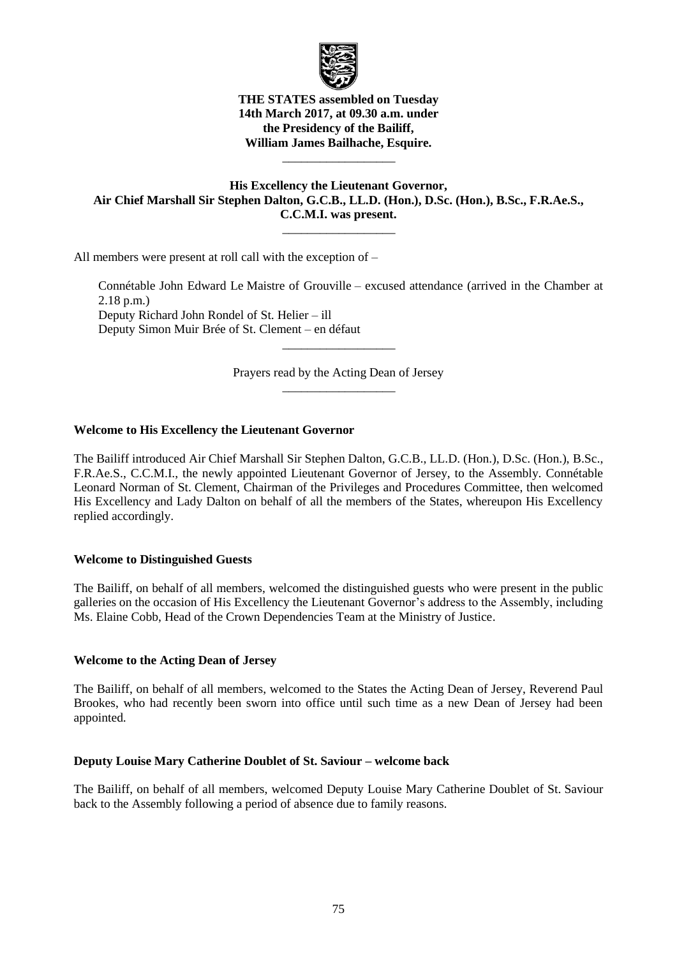

**THE STATES assembled on Tuesday 14th March 2017, at 09.30 a.m. under the Presidency of the Bailiff, William James Bailhache, Esquire.**

\_\_\_\_\_\_\_\_\_\_\_\_\_\_\_\_\_\_

# **His Excellency the Lieutenant Governor, Air Chief Marshall Sir Stephen Dalton, G.C.B., LL.D. (Hon.), D.Sc. (Hon.), B.Sc., F.R.Ae.S., C.C.M.I. was present.**

 $\overline{\phantom{a}}$  , where  $\overline{\phantom{a}}$ 

All members were present at roll call with the exception of –

Connétable John Edward Le Maistre of Grouville – excused attendance (arrived in the Chamber at 2.18 p.m.) Deputy Richard John Rondel of St. Helier – ill Deputy Simon Muir Brée of St. Clement – en défaut

> Prayers read by the Acting Dean of Jersey \_\_\_\_\_\_\_\_\_\_\_\_\_\_\_\_\_\_

\_\_\_\_\_\_\_\_\_\_\_\_\_\_\_\_\_\_

# **Welcome to His Excellency the Lieutenant Governor**

The Bailiff introduced Air Chief Marshall Sir Stephen Dalton, G.C.B., LL.D. (Hon.), D.Sc. (Hon.), B.Sc., F.R.Ae.S., C.C.M.I., the newly appointed Lieutenant Governor of Jersey, to the Assembly. Connétable Leonard Norman of St. Clement, Chairman of the Privileges and Procedures Committee, then welcomed His Excellency and Lady Dalton on behalf of all the members of the States, whereupon His Excellency replied accordingly.

### **Welcome to Distinguished Guests**

The Bailiff, on behalf of all members, welcomed the distinguished guests who were present in the public galleries on the occasion of His Excellency the Lieutenant Governor's address to the Assembly, including Ms. Elaine Cobb, Head of the Crown Dependencies Team at the Ministry of Justice.

### **Welcome to the Acting Dean of Jersey**

The Bailiff, on behalf of all members, welcomed to the States the Acting Dean of Jersey, Reverend Paul Brookes, who had recently been sworn into office until such time as a new Dean of Jersey had been appointed.

### **Deputy Louise Mary Catherine Doublet of St. Saviour – welcome back**

The Bailiff, on behalf of all members, welcomed Deputy Louise Mary Catherine Doublet of St. Saviour back to the Assembly following a period of absence due to family reasons.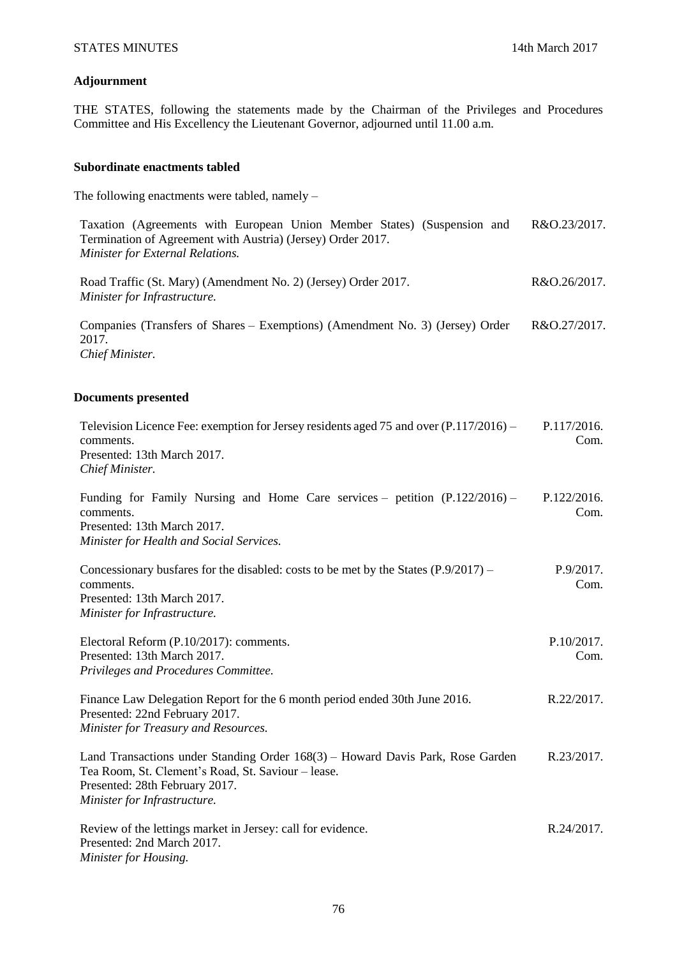# **Adjournment**

THE STATES, following the statements made by the Chairman of the Privileges and Procedures Committee and His Excellency the Lieutenant Governor, adjourned until 11.00 a.m.

#### **Subordinate enactments tabled**

The following enactments were tabled, namely –

| Taxation (Agreements with European Union Member States) (Suspension and R&O.23/2017.<br>Termination of Agreement with Austria) (Jersey) Order 2017.<br><b>Minister for External Relations.</b> |              |
|------------------------------------------------------------------------------------------------------------------------------------------------------------------------------------------------|--------------|
| Road Traffic (St. Mary) (Amendment No. 2) (Jersey) Order 2017.<br>Minister for Infrastructure.                                                                                                 | R&O.26/2017. |

Companies (Transfers of Shares – Exemptions) (Amendment No. 3) (Jersey) Order 2017. *Chief Minister.* R&O.27/2017.

# **Documents presented**

| Television Licence Fee: exemption for Jersey residents aged 75 and over (P.117/2016) –<br>comments.<br>Presented: 13th March 2017.<br>Chief Minister.                                                  | P.117/2016.<br>Com. |
|--------------------------------------------------------------------------------------------------------------------------------------------------------------------------------------------------------|---------------------|
| Funding for Family Nursing and Home Care services – petition $(P.122/2016)$ –<br>comments.<br>Presented: 13th March 2017.<br>Minister for Health and Social Services.                                  | P.122/2016.<br>Com. |
| Concessionary busfares for the disabled: costs to be met by the States $(P.9/2017)$ –<br>comments.<br>Presented: 13th March 2017.<br>Minister for Infrastructure.                                      | P.9/2017.<br>Com.   |
| Electoral Reform (P.10/2017): comments.<br>Presented: 13th March 2017.<br>Privileges and Procedures Committee.                                                                                         | P.10/2017.<br>Com.  |
| Finance Law Delegation Report for the 6 month period ended 30th June 2016.<br>Presented: 22nd February 2017.<br>Minister for Treasury and Resources.                                                   | R.22/2017.          |
| Land Transactions under Standing Order 168(3) – Howard Davis Park, Rose Garden<br>Tea Room, St. Clement's Road, St. Saviour - lease.<br>Presented: 28th February 2017.<br>Minister for Infrastructure. | R.23/2017.          |
| Review of the lettings market in Jersey: call for evidence.<br>Presented: 2nd March 2017.                                                                                                              | R.24/2017.          |

*Minister for Housing.*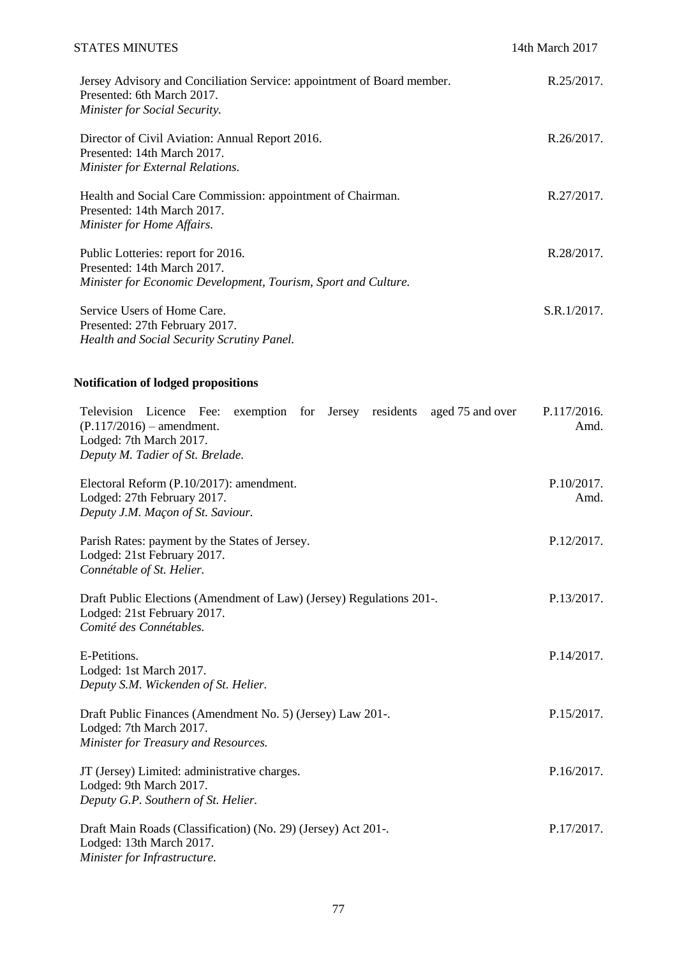| <b>STATES MINUTES</b>                                                                                                                        | 14th March 2017 |
|----------------------------------------------------------------------------------------------------------------------------------------------|-----------------|
| Jersey Advisory and Conciliation Service: appointment of Board member.<br>Presented: 6th March 2017.<br><b>Minister for Social Security.</b> | R.25/2017.      |
| Director of Civil Aviation: Annual Report 2016.<br>Presented: 14th March 2017.<br>Minister for External Relations.                           | R.26/2017       |
| Health and Social Care Commission: appointment of Chairman.<br>Presented: 14th March 2017.<br>Minister for Home Affairs.                     | R.27/2017.      |
| Public Lotteries: report for 2016.<br>Presented: 14th March 2017.<br>Minister for Economic Development, Tourism, Sport and Culture.          | R.28/2017.      |
| Service Users of Home Care.<br>Presented: 27th February 2017.<br><b>Health and Social Security Scrutiny Panel.</b>                           | S.R.1/2017.     |

# **Notification of lodged propositions**

| Television Licence Fee: exemption for Jersey residents aged 75 and over<br>$(P.117/2016)$ – amendment.<br>Lodged: 7th March 2017.<br>Deputy M. Tadier of St. Brelade. | P.117/2016.<br>Amd. |
|-----------------------------------------------------------------------------------------------------------------------------------------------------------------------|---------------------|
| Electoral Reform (P.10/2017): amendment.<br>Lodged: 27th February 2017.<br>Deputy J.M. Maçon of St. Saviour.                                                          | P.10/2017.<br>Amd.  |
| Parish Rates: payment by the States of Jersey.<br>Lodged: 21st February 2017.<br>Connétable of St. Helier.                                                            | P.12/2017.          |
| Draft Public Elections (Amendment of Law) (Jersey) Regulations 201-.<br>Lodged: 21st February 2017.<br>Comité des Connétables.                                        | P.13/2017.          |
| E-Petitions.<br>Lodged: 1st March 2017.<br>Deputy S.M. Wickenden of St. Helier.                                                                                       | P.14/2017.          |
| Draft Public Finances (Amendment No. 5) (Jersey) Law 201-.<br>Lodged: 7th March 2017.<br>Minister for Treasury and Resources.                                         | P.15/2017.          |
| JT (Jersey) Limited: administrative charges.<br>Lodged: 9th March 2017.<br>Deputy G.P. Southern of St. Helier.                                                        | P.16/2017.          |
| Draft Main Roads (Classification) (No. 29) (Jersey) Act 201-.<br>Lodged: 13th March 2017.<br>Minister for Infrastructure.                                             | P.17/2017.          |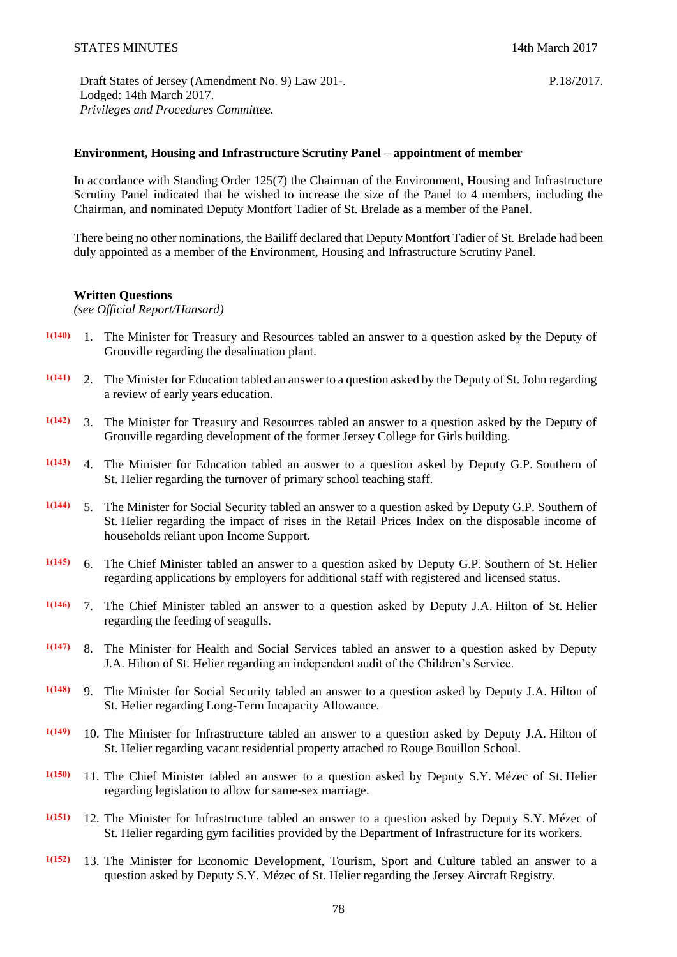P.18/2017.

Draft States of Jersey (Amendment No. 9) Law 201-. Lodged: 14th March 2017. *Privileges and Procedures Committee.*

# **Environment, Housing and Infrastructure Scrutiny Panel – appointment of member**

In accordance with Standing Order 125(7) the Chairman of the Environment, Housing and Infrastructure Scrutiny Panel indicated that he wished to increase the size of the Panel to 4 members, including the Chairman, and nominated Deputy Montfort Tadier of St. Brelade as a member of the Panel.

There being no other nominations, the Bailiff declared that Deputy Montfort Tadier of St. Brelade had been duly appointed as a member of the Environment, Housing and Infrastructure Scrutiny Panel.

#### **Written Questions**

*(see Official Report/Hansard)*

- **1(140)** 1. The Minister for Treasury and Resources tabled an answer to a question asked by the Deputy of Grouville regarding the desalination plant.
- **1(141)** 2. The Minister for Education tabled an answer to a question asked by the Deputy of St. John regarding a review of early years education.
- **1(142)** 3. The Minister for Treasury and Resources tabled an answer to a question asked by the Deputy of Grouville regarding development of the former Jersey College for Girls building.
- **1(143)** 4. The Minister for Education tabled an answer to a question asked by Deputy G.P. Southern of St. Helier regarding the turnover of primary school teaching staff.
- **1(144)** 5. The Minister for Social Security tabled an answer to a question asked by Deputy G.P. Southern of St. Helier regarding the impact of rises in the Retail Prices Index on the disposable income of households reliant upon Income Support.
- **1(145)** 6. The Chief Minister tabled an answer to a question asked by Deputy G.P. Southern of St. Helier regarding applications by employers for additional staff with registered and licensed status.
- **1(146)** 7. The Chief Minister tabled an answer to a question asked by Deputy J.A. Hilton of St. Helier regarding the feeding of seagulls.
- **1(147)** 8. The Minister for Health and Social Services tabled an answer to a question asked by Deputy J.A. Hilton of St. Helier regarding an independent audit of the Children's Service.
- **1(148)** 9. The Minister for Social Security tabled an answer to a question asked by Deputy J.A. Hilton of St. Helier regarding Long-Term Incapacity Allowance.
- **1(149)** 10. The Minister for Infrastructure tabled an answer to a question asked by Deputy J.A. Hilton of St. Helier regarding vacant residential property attached to Rouge Bouillon School.
- **1(150)** 11. The Chief Minister tabled an answer to a question asked by Deputy S.Y. Mézec of St. Helier regarding legislation to allow for same-sex marriage.
- **1(151)** 12. The Minister for Infrastructure tabled an answer to a question asked by Deputy S.Y. Mézec of St. Helier regarding gym facilities provided by the Department of Infrastructure for its workers.
- **1(152)** 13. The Minister for Economic Development, Tourism, Sport and Culture tabled an answer to a question asked by Deputy S.Y. Mézec of St. Helier regarding the Jersey Aircraft Registry.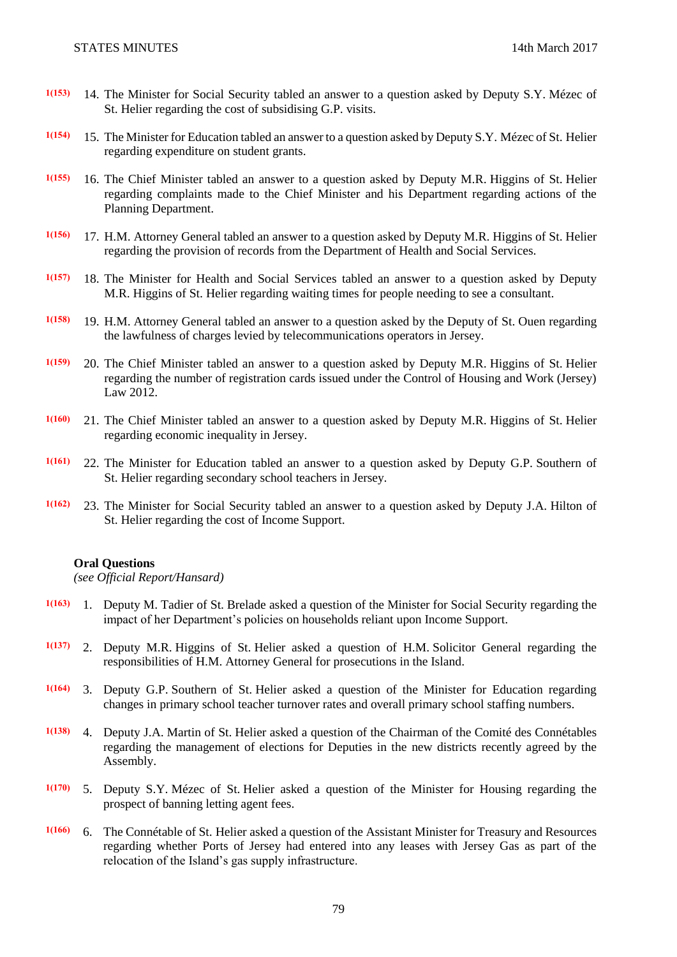- **1(153)** 14. The Minister for Social Security tabled an answer to a question asked by Deputy S.Y. Mézec of St. Helier regarding the cost of subsidising G.P. visits.
- **1(154)** 15. The Minister for Education tabled an answer to a question asked by Deputy S.Y. Mézec of St. Helier regarding expenditure on student grants.
- **1(155)** 16. The Chief Minister tabled an answer to a question asked by Deputy M.R. Higgins of St. Helier regarding complaints made to the Chief Minister and his Department regarding actions of the Planning Department.
- **1(156)** 17. H.M. Attorney General tabled an answer to a question asked by Deputy M.R. Higgins of St. Helier regarding the provision of records from the Department of Health and Social Services.
- **1(157)** 18. The Minister for Health and Social Services tabled an answer to a question asked by Deputy M.R. Higgins of St. Helier regarding waiting times for people needing to see a consultant.
- **1(158)** 19. H.M. Attorney General tabled an answer to a question asked by the Deputy of St. Ouen regarding the lawfulness of charges levied by telecommunications operators in Jersey.
- **1(159)** 20. The Chief Minister tabled an answer to a question asked by Deputy M.R. Higgins of St. Helier regarding the number of registration cards issued under the Control of Housing and Work (Jersey) Law 2012.
- **1(160)** 21. The Chief Minister tabled an answer to a question asked by Deputy M.R. Higgins of St. Helier regarding economic inequality in Jersey.
- **1(161)** 22. The Minister for Education tabled an answer to a question asked by Deputy G.P. Southern of St. Helier regarding secondary school teachers in Jersey.
- **1(162)** 23. The Minister for Social Security tabled an answer to a question asked by Deputy J.A. Hilton of St. Helier regarding the cost of Income Support.

#### **Oral Questions**

*(see Official Report/Hansard)*

- **1(163)** 1. Deputy M. Tadier of St. Brelade asked a question of the Minister for Social Security regarding the impact of her Department's policies on households reliant upon Income Support.
- **1(137)** 2. Deputy M.R. Higgins of St. Helier asked a question of H.M. Solicitor General regarding the responsibilities of H.M. Attorney General for prosecutions in the Island.
- **1(164)** 3. Deputy G.P. Southern of St. Helier asked a question of the Minister for Education regarding changes in primary school teacher turnover rates and overall primary school staffing numbers.
- **1(138)** 4. Deputy J.A. Martin of St. Helier asked a question of the Chairman of the Comité des Connétables regarding the management of elections for Deputies in the new districts recently agreed by the Assembly.
- **1(170)** 5. Deputy S.Y. Mézec of St. Helier asked a question of the Minister for Housing regarding the prospect of banning letting agent fees.
- **1(166)** 6. The Connétable of St. Helier asked a question of the Assistant Minister for Treasury and Resources regarding whether Ports of Jersey had entered into any leases with Jersey Gas as part of the relocation of the Island's gas supply infrastructure.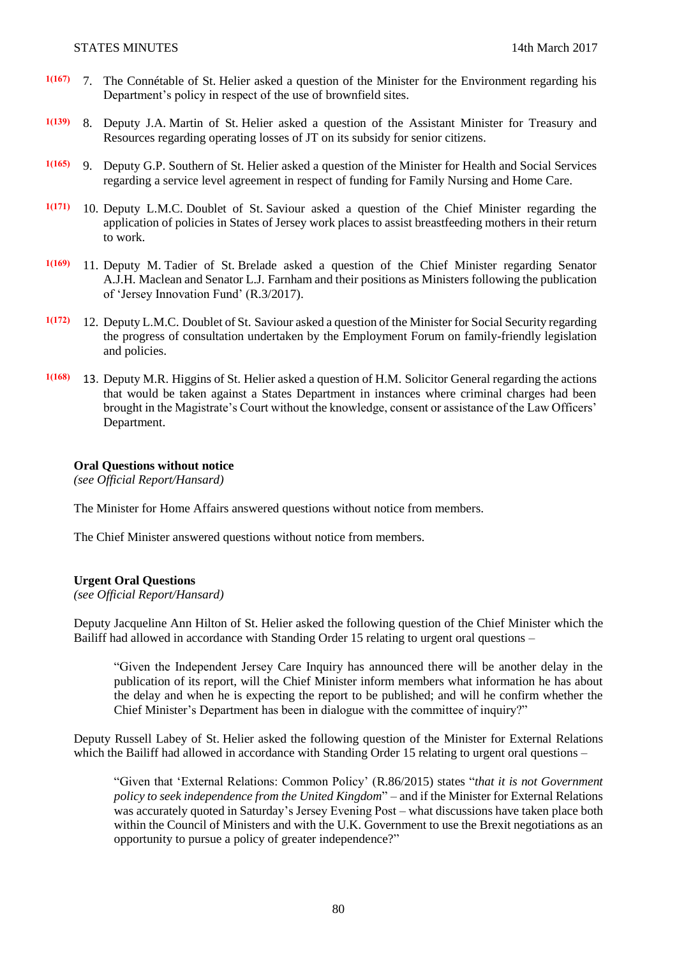- **1(167)** 7. The Connétable of St. Helier asked a question of the Minister for the Environment regarding his Department's policy in respect of the use of brownfield sites.
- **1(139)** 8. Deputy J.A. Martin of St. Helier asked a question of the Assistant Minister for Treasury and Resources regarding operating losses of JT on its subsidy for senior citizens.
- **1(165)** 9. Deputy G.P. Southern of St. Helier asked a question of the Minister for Health and Social Services regarding a service level agreement in respect of funding for Family Nursing and Home Care.
- **1(171)** 10. Deputy L.M.C. Doublet of St. Saviour asked a question of the Chief Minister regarding the application of policies in States of Jersey work places to assist breastfeeding mothers in their return to work.
- **1(169)** 11. Deputy M. Tadier of St. Brelade asked a question of the Chief Minister regarding Senator A.J.H. Maclean and Senator L.J. Farnham and their positions as Ministers following the publication of 'Jersey Innovation Fund' [\(R.3/2017\)](http://www.statesassembly.gov.je/AssemblyReports/2017/R.3-2017.pdf).
- **1(172)** 12. Deputy L.M.C. Doublet of St. Saviour asked a question of the Minister for Social Security regarding the progress of consultation undertaken by the Employment Forum on family-friendly legislation and policies.
- **1(168)** 13. Deputy M.R. Higgins of St. Helier asked a question of H.M. Solicitor General regarding the actions that would be taken against a States Department in instances where criminal charges had been brought in the Magistrate's Court without the knowledge, consent or assistance of the Law Officers' Department.

#### **Oral Questions without notice**

*(see Official Report/Hansard)*

The Minister for Home Affairs answered questions without notice from members.

The Chief Minister answered questions without notice from members.

#### **Urgent Oral Questions**

*(see Official Report/Hansard)*

Deputy Jacqueline Ann Hilton of St. Helier asked the following question of the Chief Minister which the Bailiff had allowed in accordance with Standing Order 15 relating to urgent oral questions –

"Given the Independent Jersey Care Inquiry has announced there will be another delay in the publication of its report, will the Chief Minister inform members what information he has about the delay and when he is expecting the report to be published; and will he confirm whether the Chief Minister's Department has been in dialogue with the committee of inquiry?"

Deputy Russell Labey of St. Helier asked the following question of the Minister for External Relations which the Bailiff had allowed in accordance with Standing Order 15 relating to urgent oral questions –

"Given that 'External Relations: Common Policy' [\(R.86/2015\)](http://www.statesassembly.gov.je/AssemblyReports/2015/R.86-2015.pdf) states "*that it is not Government policy to seek independence from the United Kingdom*" – and if the Minister for External Relations was accurately quoted in Saturday's Jersey Evening Post – what discussions have taken place both within the Council of Ministers and with the U.K. Government to use the Brexit negotiations as an opportunity to pursue a policy of greater independence?"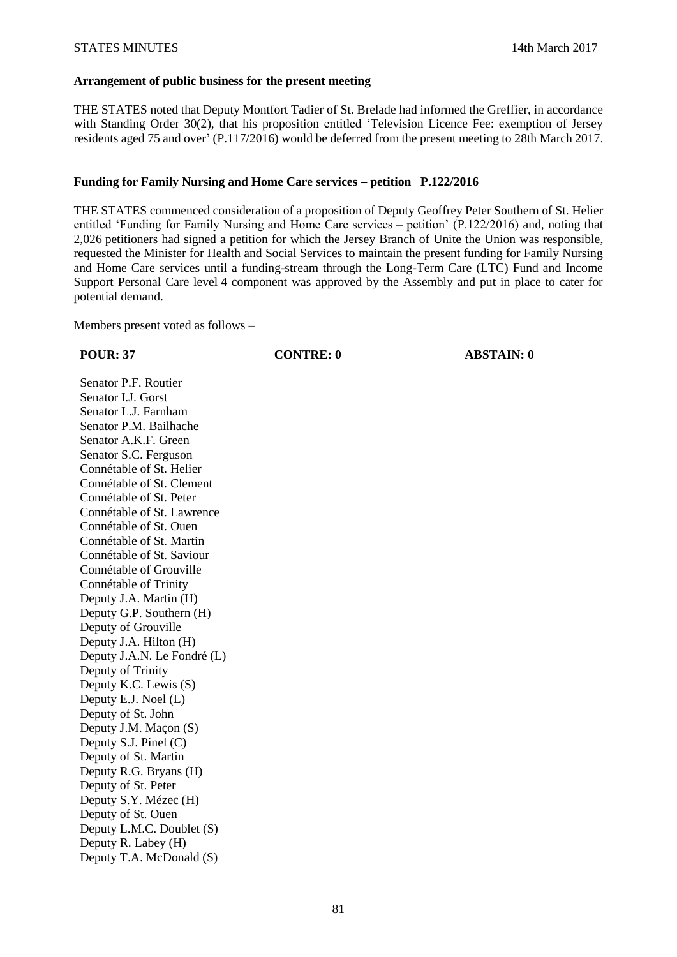#### **Arrangement of public business for the present meeting**

THE STATES noted that Deputy Montfort Tadier of St. Brelade had informed the Greffier, in accordance with Standing Order 30(2), that his proposition entitled 'Television Licence Fee: exemption of Jersey residents aged 75 and over' (P.117/2016) would be deferred from the present meeting to 28th March 2017.

### **Funding for Family Nursing and Home Care services – petition P.122/2016**

THE STATES commenced consideration of a proposition of Deputy Geoffrey Peter Southern of St. Helier entitled 'Funding for Family Nursing and Home Care services – petition' (P.122/2016) and, noting that 2,026 petitioners had signed a petition for which the Jersey Branch of Unite the Union was responsible, requested the Minister for Health and Social Services to maintain the present funding for Family Nursing and Home Care services until a funding-stream through the Long-Term Care (LTC) Fund and Income Support Personal Care level 4 component was approved by the Assembly and put in place to cater for potential demand.

Members present voted as follows –

**POUR: 37 CONTRE: 0 ABSTAIN: 0**

Senator P.F. Routier Senator I.J. Gorst Senator L.J. Farnham Senator P.M. Bailhache Senator A.K.F. Green Senator S.C. Ferguson Connétable of St. Helier Connétable of St. Clement Connétable of St. Peter Connétable of St. Lawrence Connétable of St. Ouen Connétable of St. Martin Connétable of St. Saviour Connétable of Grouville Connétable of Trinity Deputy J.A. Martin (H) Deputy G.P. Southern (H) Deputy of Grouville Deputy J.A. Hilton (H) Deputy J.A.N. Le Fondré (L) Deputy of Trinity Deputy K.C. Lewis (S) Deputy E.J. Noel (L) Deputy of St. John Deputy J.M. Maçon (S) Deputy S.J. Pinel (C) Deputy of St. Martin Deputy R.G. Bryans (H) Deputy of St. Peter Deputy S.Y. Mézec (H) Deputy of St. Ouen Deputy L.M.C. Doublet (S) Deputy R. Labey (H) Deputy T.A. McDonald (S)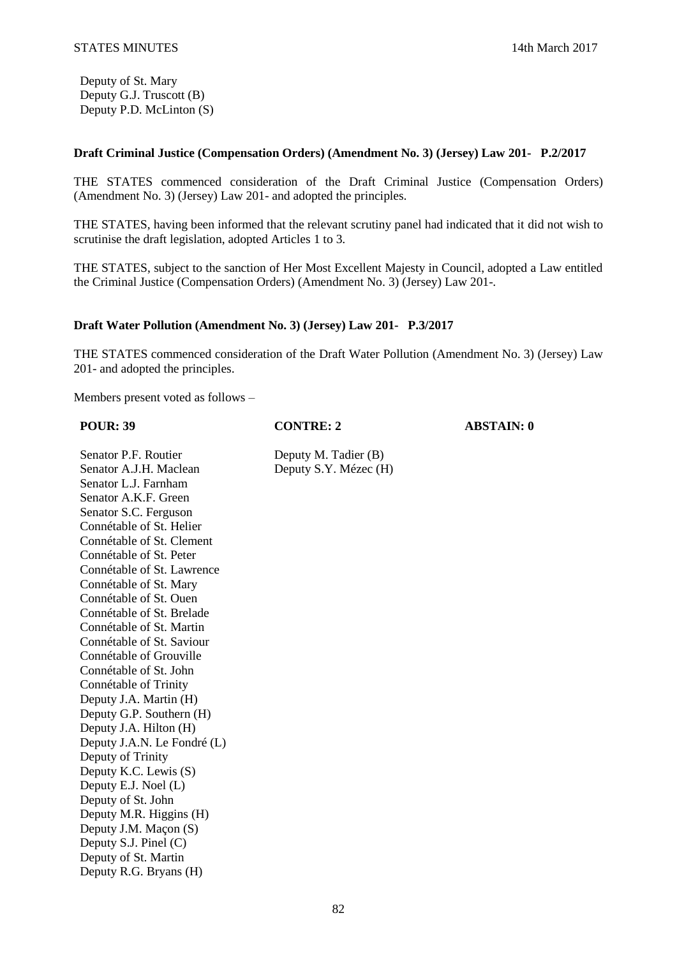Deputy of St. Mary Deputy G.J. Truscott (B) Deputy P.D. McLinton (S)

# **Draft Criminal Justice (Compensation Orders) (Amendment No. 3) (Jersey) Law 201- P.2/2017**

THE STATES commenced consideration of the Draft Criminal Justice (Compensation Orders) (Amendment No. 3) (Jersey) Law 201- and adopted the principles.

THE STATES, having been informed that the relevant scrutiny panel had indicated that it did not wish to scrutinise the draft legislation, adopted Articles 1 to 3.

THE STATES, subject to the sanction of Her Most Excellent Majesty in Council, adopted a Law entitled the Criminal Justice (Compensation Orders) (Amendment No. 3) (Jersey) Law 201-.

### **Draft Water Pollution (Amendment No. 3) (Jersey) Law 201- P.3/2017**

THE STATES commenced consideration of the Draft Water Pollution (Amendment No. 3) (Jersey) Law 201- and adopted the principles.

Members present voted as follows –

| <b>POUR: 39</b>             | <b>CONTRE: 2</b>      | <b>ABSTAIN: 0</b> |
|-----------------------------|-----------------------|-------------------|
| Senator P.F. Routier        | Deputy M. Tadier (B)  |                   |
| Senator A.J.H. Maclean      | Deputy S.Y. Mézec (H) |                   |
| Senator L.J. Farnham        |                       |                   |
| Senator A.K.F. Green        |                       |                   |
| Senator S.C. Ferguson       |                       |                   |
| Connétable of St. Helier    |                       |                   |
| Connétable of St. Clement   |                       |                   |
| Connétable of St. Peter     |                       |                   |
| Connétable of St. Lawrence  |                       |                   |
| Connétable of St. Mary      |                       |                   |
| Connétable of St. Ouen      |                       |                   |
| Connétable of St. Brelade   |                       |                   |
| Connétable of St. Martin    |                       |                   |
| Connétable of St. Saviour   |                       |                   |
| Connétable of Grouville     |                       |                   |
| Connétable of St. John      |                       |                   |
| Connétable of Trinity       |                       |                   |
| Deputy J.A. Martin (H)      |                       |                   |
| Deputy G.P. Southern (H)    |                       |                   |
| Deputy J.A. Hilton (H)      |                       |                   |
| Deputy J.A.N. Le Fondré (L) |                       |                   |
| Deputy of Trinity           |                       |                   |
| Deputy K.C. Lewis (S)       |                       |                   |
| Deputy E.J. Noel (L)        |                       |                   |
| Deputy of St. John          |                       |                   |
| Deputy M.R. Higgins (H)     |                       |                   |
| Deputy J.M. Maçon (S)       |                       |                   |
| Deputy S.J. Pinel (C)       |                       |                   |
| Deputy of St. Martin        |                       |                   |
| Deputy R.G. Bryans (H)      |                       |                   |
|                             |                       |                   |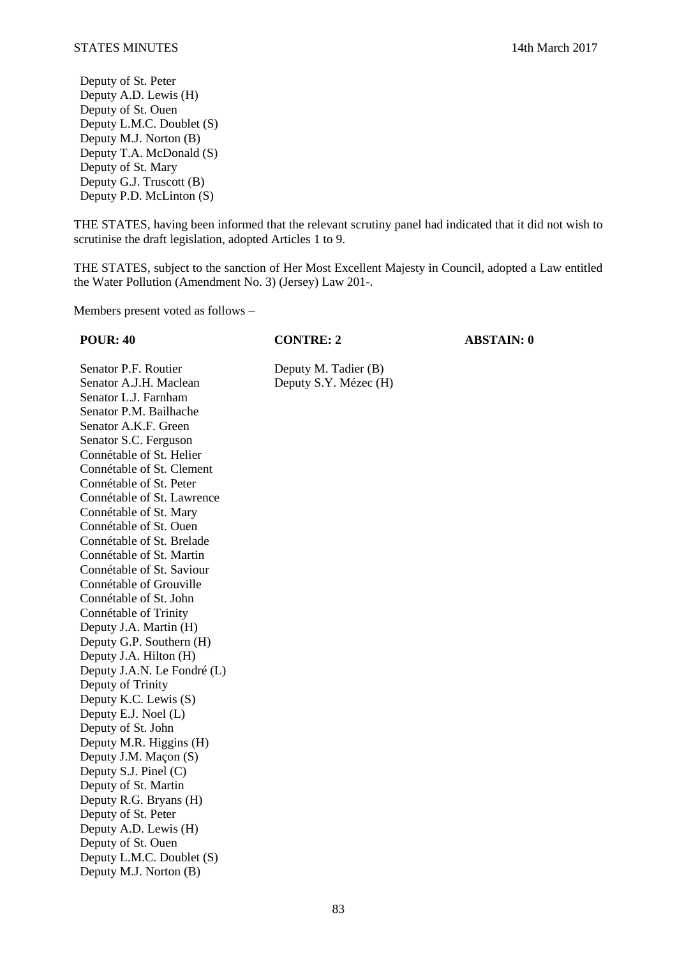Deputy of St. Peter Deputy A.D. Lewis (H) Deputy of St. Ouen Deputy L.M.C. Doublet (S) Deputy M.J. Norton (B) Deputy T.A. McDonald (S) Deputy of St. Mary Deputy G.J. Truscott (B) Deputy P.D. McLinton (S)

THE STATES, having been informed that the relevant scrutiny panel had indicated that it did not wish to scrutinise the draft legislation, adopted Articles 1 to 9.

THE STATES, subject to the sanction of Her Most Excellent Majesty in Council, adopted a Law entitled the Water Pollution (Amendment No. 3) (Jersey) Law 201-.

Members present voted as follows –

**POUR: 40 CONTRE: 2 ABSTAIN: 0**

Senator P.F. Routier Deputy M. Tadier (B) Senator A.J.H. Maclean Deputy S.Y. Mézec (H) Senator L.J. Farnham Senator P.M. Bailhache Senator A.K.F. Green Senator S.C. Ferguson Connétable of St. Helier Connétable of St. Clement Connétable of St. Peter Connétable of St. Lawrence Connétable of St. Mary Connétable of St. Ouen Connétable of St. Brelade Connétable of St. Martin Connétable of St. Saviour Connétable of Grouville Connétable of St. John Connétable of Trinity Deputy J.A. Martin (H) Deputy G.P. Southern (H) Deputy J.A. Hilton (H) Deputy J.A.N. Le Fondré (L) Deputy of Trinity Deputy K.C. Lewis (S) Deputy E.J. Noel (L) Deputy of St. John Deputy M.R. Higgins (H) Deputy J.M. Maçon (S) Deputy S.J. Pinel (C) Deputy of St. Martin Deputy R.G. Bryans (H) Deputy of St. Peter Deputy A.D. Lewis (H) Deputy of St. Ouen Deputy L.M.C. Doublet (S) Deputy M.J. Norton (B)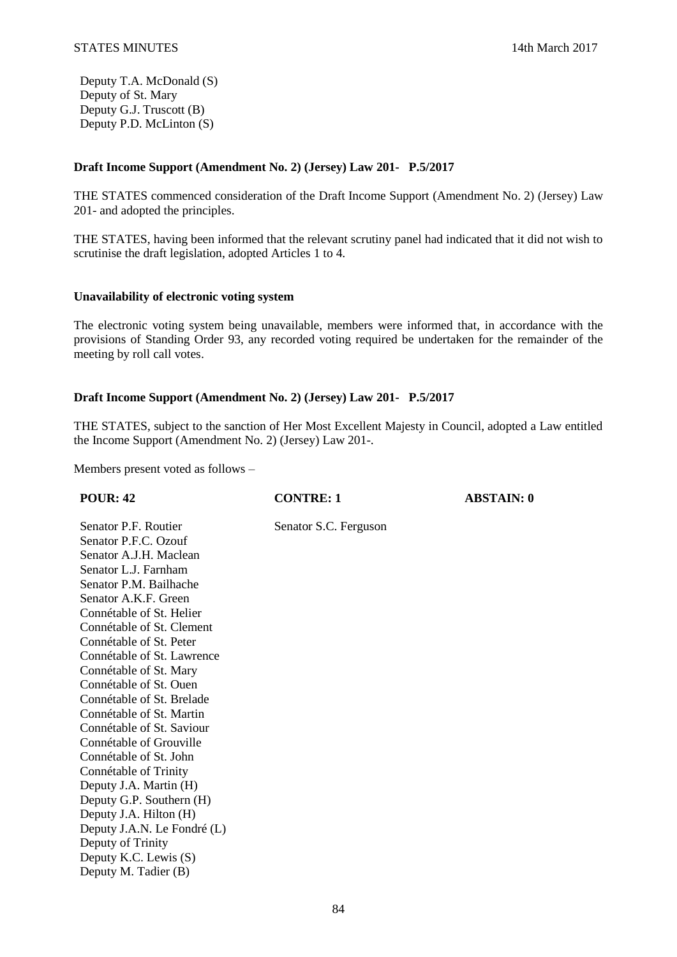Deputy T.A. McDonald (S) Deputy of St. Mary Deputy G.J. Truscott (B) Deputy P.D. McLinton (S)

# **Draft Income Support (Amendment No. 2) (Jersey) Law 201- P.5/2017**

THE STATES commenced consideration of the Draft Income Support (Amendment No. 2) (Jersey) Law 201- and adopted the principles.

THE STATES, having been informed that the relevant scrutiny panel had indicated that it did not wish to scrutinise the draft legislation, adopted Articles 1 to 4.

# **Unavailability of electronic voting system**

The electronic voting system being unavailable, members were informed that, in accordance with the provisions of Standing Order 93, any recorded voting required be undertaken for the remainder of the meeting by roll call votes.

# **Draft Income Support (Amendment No. 2) (Jersey) Law 201- P.5/2017**

THE STATES, subject to the sanction of Her Most Excellent Majesty in Council, adopted a Law entitled the Income Support (Amendment No. 2) (Jersey) Law 201-.

Members present voted as follows –